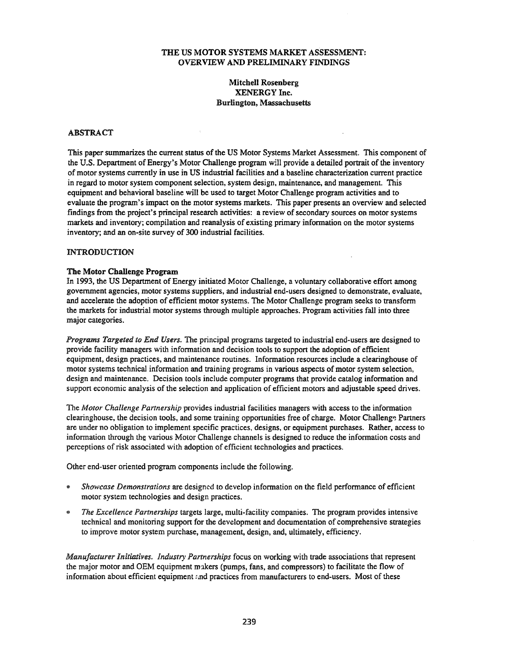### THE US MOTOR SYSTEMS MARKET ASSESSMENT: OVERVIEW AND PRELIMINARY FINDINGS

# Mitchell Rosenberg XENERGY Inc. Burlington, Massachusetts

### ABSTRACT

This paper summarizes the current status of the US Motor Systems Market Assessment. This component of the U.S. Department of Energy's Motor Challenge program will provide a detailed portrait of the inventory of motor systems currently in use in US industrial facilities and a baseline characterization current practice in regard to motor system component selection, system design, maintenance, and management. This equipment and behavioral baseline will be used to target Motor Challenge program activities and to evaluate the program's impact on the motor systems markets. This paper presents an overview and selected findings from the project's principal research activities: a review of secondary sources on motor systems markets and inventory; compilation and reanalysis of existing primary information on the motor systems inventory; and an on-site survey of 300 industrial facilities.

#### INTRODUCTION

#### The Motor Challenge Program

In 1993, the US Department of Energy initiated Motor Challenge, a voluntary collaborative effort among government agencies, motor systems suppliers, and industrial end-users designed to demonstrate, evaluate, and accelerate the adoption of efficient motor systems. The Motor Challenge program seeks to transform the markets for industrial motor systems through multiple approaches. Program activities fall into three major categories.

*Programs Targeted to End Users.* The principal programs targeted to industrial end-users are designed to provide facility managers with information and decision tools to support the adoption of efficient equipment, design practices, and maintenance routines. Information resources include a clearinghouse of motor systems technical information and training programs in various aspects of motor system selection, design and maintenance. Decision tools include computer programs that provide catalog information and support economic analysis of the selection and application of efficient motors and adjustable speed drives.

The *Motor Challenge Partnership* provides industrial facilities managers with access to the information clearinghouse, the decision tools, and some training opportunities free of charge. Motor Challenge Partners are under no obligation to implement specific practices, designs, or equipment purchases. Rather, access to information through the various Motor Challenge channels is designed to reduce the information costs and perceptions of risk associated with adoption of efficient technologies and practices.

Other end-user oriented program components include the following.

- *Showcase Demonstrations* are designed to develop information on the field performance of efficient motor system technologies and design practices.
- *The Excellence Partnerships* targets large, multi-facility companies. The program provides intensive technical and monitoring support for the development and documentation of comprehensive strategies to improve motor system purchase, management, design, and, ultimately, efficiency.

*Manufacturer Initiatives. Industry Partnerships* focus on working with trade associations that represent the major motor and OEM equipment makers (pumps, fans, and compressors) to facilitate the flow of information about efficient equipment  $\Delta n$  practices from manufacturers to end-users. Most of these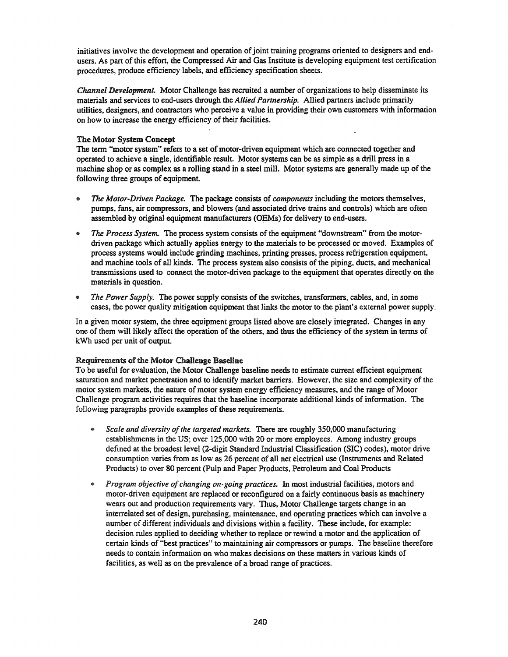initiatives involve the development and operation of joint training programs oriented to designers and endusers. As part of this effort, the Compressed Air and Gas Institute is developing equipment test certification procedures, produce efficiency labels, and efficiency specification sheets.

*Channel Development.* Motor Challenge has recruited a number of organizations to help disseminate its materials and services to end-users through the *Allied Partnership.* Allied partners include primarily utilities, designers, and contractors who perceive a value in providing their own customers with information on how to increase the energy efficiency of their facilities.

### The Motor System Concept

The term "motor system" refers to a set of motor-driven equipment which are connected together and operated to achieve a single, identifiable result. Motor systems can be as simple as a drill press in a machine shop or as complex as a rolling stand in a steel mill. Motor systems are generally made up of the following three groups of equipment.

- e *The Motor-Driven Package.* The package consists of *components* including the motors themselves, pumps, fans, air compressors, and blowers (and associated drive trains and controls) which are often assembled by original equipment manufacturers (OEMs) for delivery to end-users.
- *The Process System.* The process system consists of the equipment "downstream" from the motordriven package which actually applies energy to the materials to be processed or moved. Examples of process systems would include grinding machines, printing presses, process refrigeration equipment, and machine tools of all kinds. The process system also consists of the piping, ducts, and mechanical transmissions used to connect the motor-driven package to the equipment that operates directly on the materials in question.
- *The Power Supply.* The power supply consists of the switches, transformers, cables, and, in some cases, the power quality mitigation equipment that links the motor to the plant's external power supply.

In a given motor system, the three equipment groups listed above are closely integrated. Changes in any one ofthem will likely affect the operation of the others, and thus the efficiency of the system in terms of kWh used per unit of output.

### Requirements of the Motor Challenge Baseline

To be useful for evaluation, the Motor Challenge baseline needs to estimate current efficient equipment saturation and market penetration and to identify market barriers. However, the size and complexity of the motor system markets, the nature of motor system energy efficiency measures, and the range of Motor Challenge program activities requires that the baseline incorporate additional kinds of information. The following paragraphs provide examples of these requirements.

- Scale and diversity of the targeted markets. There are roughly 350,000 manufacturing establishments in the US; over 125,000 with 20 or more employees. Among industry groups defined at the broadest level (2-digit Standard Industrial Classification (SIC) codes), motor drive consumption varies from as low as 26 percent of all net electrical use (Instruments and Related Products) to over 80 percent (Pulp and Paper Products, Petroleum and Coal Products
- **•** *Program objective of changing on-going practices.* In most industrial facilities, motors and motor-driven equipment are replaced or reconfigured on a fairly continuous basis as machinery wears out and production requirements vary. Thus, Motor Challenge targets change in an interrelated set of design, purchasing, maintenance, and operating practices which can involve a number of different individuals and divisions within a facility. These include, for example: decision rules applied to deciding whether to replace or rewind a motor and the application of certain kinds of "best practices" to maintaining air compressors or pumps. The baseline therefore needs to contain information on who makes decisions on these matters in various kinds of facilities, as well as on the prevalence of a broad range of practices.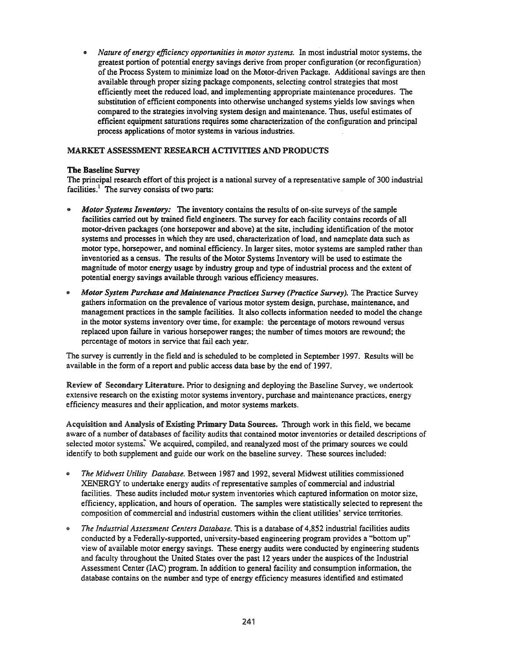*• Nature ofenergy efficiency opponunities in motor systems.* In most industrial motor systems, the greatest portion of potential energy savings derive from proper configuration (or reconfiguration) of the Process System to minimize load on the Motor-driven Package. Additional savings are then available through proper sizing package components, selecting control strategies that most efficiently meet the reduced load, and implementing appropriate maintenance procedures. The substitution of efficient components into otherwise unchanged systems yields low savings when compared to the strategies involving system design and maintenance. Thus, useful estimates of efficient equipment saturations requires some characterization of the configuration and principal process applications of motor systems in various industries.

# MARKET ASSESSMENT RESEARCH ACTIVITIES AND PRODUCTS

# **The Baseline** Survey

The principal research effort of this project is a national survey of a representative sample of 300 industrial facilities.<sup>1</sup> The survey consists of two parts:

- *• Motor Systems Inventory:* The inventory contains the results of on-site surveys of the sample facilities carried out by trained field engineers. The survey for each facility contains records of all motor-driven packages (one horsepower and above) at the site, including identification of the motor systems and processes in which they are used, characterization of load, and nameplate data such as motor type, horsepower, and nominal efficiency. In larger sites, motor systems are sampled rather than inventoried as a census. The results of the Motor Systems Inventory will be used to estimate the magnitude of motor energy usage by industry group and type of industrial process and the extent of potential energy savings available through various efficiency measures.
- liI *Motor System Purchase and Maintenance Practices Survey (Practice Survey).* The Practice Survey gathers information on the prevalence of various motor system design, purchase, maintenance, and management practices in the sample facilities. It also collects information needed to model the change in the motor systems inventory over time, for example: the percentage of motors rewound versus replaced upon failure in various horsepower ranges; the number of times motors are rewound; the percentage of motors in service that fail each year.

The survey is currently in the field and is scheduled to be completed in September 1997. Results will be available in the form of a report and public access data base by the end of 1997.

Review of Secondary Literature. Prior to designing and deploying the Baseline Survey, we undertook extensive research on the existing motor systems inventory, purchase and maintenance practices, energy efficiency measures and their application, and motor systems markets.

Acquisition and Analysis of Existing Primary Data Sources. Through work in this field, we became aware of a number of databases of facility audits that contained motor inventories or detailed descriptions of selected motor systems. We acquired, compiled, and reanalyzed most of the primary sources we could identify to both supplement and guide our work on the baseline survey. These sources included:

- ® *The Midwest Utility Database.* Between 1987 and 1992, several Midwest utilities commissioned XENERGY to undertake energy audits of representative samples of commercial and industrial facilities. These audits included motur system inventories which captured information on motor size, efficiency, application, and hours of operation. The samples were statistically selected to represent the composition of commercial and industrial customers within the client utilities' service territories.
- @ *The Industrial Assessment Centers Database.* This is a database of 4,852 industrial facilities audits conducted by a Federally-supported, university-based engineering program provides a "bottom up" view of available motor energy savings. These energy audits were conducted by engineering students and faculty throughout the United States over the past 12 years under the auspices of the Industrial Assessment Center (IAC) program. In addition to general facility and consumption information, the database contains on the number and type of energy efficiency measures identified and estimated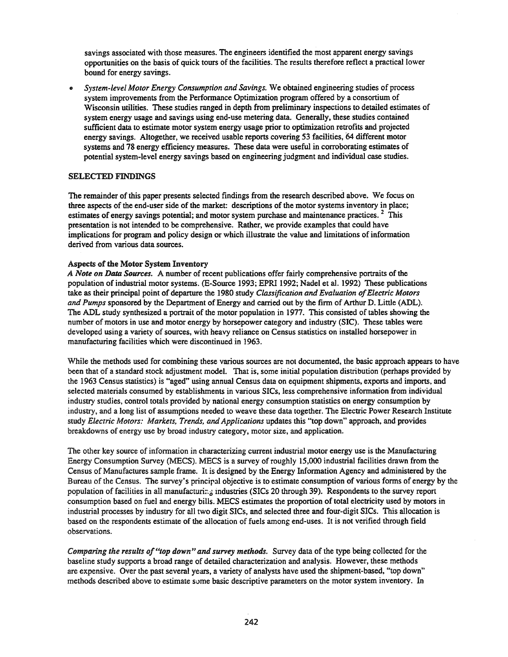savings associated with those measures. The engineers identified the most apparent energy savings opportunities on the basis of quick tours of the facilities. The results therefore reflect a practical lower bound for energy savings.

.. *System-level Motor Energy Consumption and Savings.* We obtained engineering studies of process system improvements from the Performance Optimization program offered by a consortium of Wisconsin utilities. These studies ranged in depth from preliminary inspections to detailed estimates of system energy usage and savings using end-use metering data. Generally, these studies contained sufficient data to estimate motor system energy usage prior to optimization retrofits and projected energy savings. Altogether, we received usable reports covering 53 facilities, 04 different motor systems and 78 energy efficiency measures. These data were useful in corroborating estimates of potential system-level energy savings based on engineering judgment and individual case studies.

# SELECTED FINDINGS

The remainder of this paper presents selected findings from the research described above. We focus on three aspects of the end-user side of the market: descriptions of the motor systems inventory in place; estimates of energy savings potential; and motor system purchase and maintenance practices.<sup>2</sup> This presentation is not intended to be comprehensive. Rather, we provide examples that could have implications for program and policy design or which illustrate the value and limitations ofinformation derived from various data sources.

#### Aspects of the Motor System Inventory

*A Note on Data Sources.* A number ofrecent publications offer fairly comprehensive portraits of the population of industrial motor systems. (E-Source 1993; EPRI 1992; Nadel et aI. 1992) These publications take as their principal point of departure the 1980 study *Classification and Evaluation ofElectric Motors* and Pumps sponsored by the Department of Energy and carried out by the firm of Arthur D. Little (ADL). The ADL study synthesized a portrait of the motor population in 1977. This consisted oftables showing the number of motors in use and motor energy by horsepower category and industry (SIC). These tables were developed using a variety of sources, with heavy reliance on Census statistics on installed horsepower in manufacturing facilities which were discontinued in 1963.

While the methods used for combining these various sources are not documented, the basic approach appears to have been that of a standard stock adjustment model. That is, some initial population distribution (perhaps provided by the 1963 Census statistics) is "aged" using annual Census data on equipment shipments, exports and imports, and selected materials consumed by establishments in various SICs, less comprehensive information from individual industry studies, control totals provided by national energy consumption statistics on energy consumption by industry, and a long list of assumptions needed to weave these data together. The Electric Power Research Institute study *Electric Motors: Markets, Trends, and Applications* updates this "top down" approach, and provides breakdowns of energy use by broad industry category, motor size, and application.

The other key source of information in characterizing current industrial motor energy use is the Manufacturing Energy Consumption Survey (MECS). MECS is a survey of roughly 15,000 industrial facilities drawn from the Census of Manufactures sample frame. It is designed by the Energy Information Agency and administered by the Bureau of the Census. The survey's principal objective is to estimate consumption of various forms of energy by the population of facilities in all manufacturing industries (SICs 20 through 39). Respondents to the survey report consumption based on fuel and energy bills. MECS estimates the proportion of total electricity used by motors in industrial processes by industry for all two digit SICs, and selected three and four-digit SICs. This allocation is based on the respondents estimate of the allocation of fuels among end-uses. It is not verified through field observations.

*Comparing the results of"top down" and survey methods.* Survey data of the type being collected for the baseline study supports a broad range of detailed characterization and analysis. However, these methods are expensive. Over the past several years, a variety of analysts have used the shipment-based, "top down" methods described above to estimate some basic descriptive parameters on the motor system inventory. In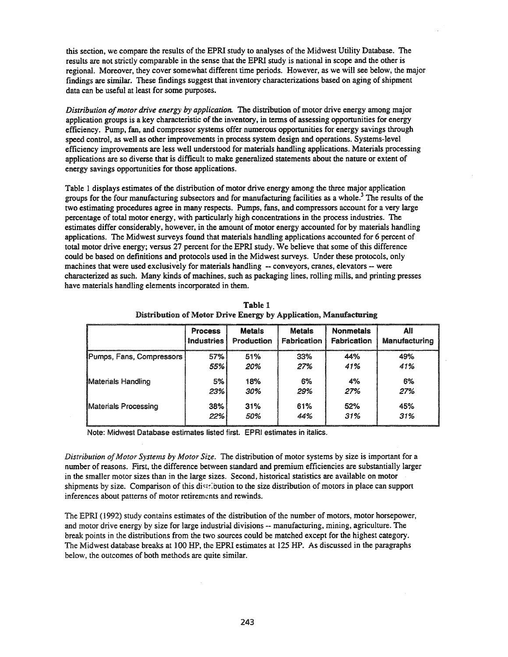this section, we compare the results of the EPRI study to analyses of the Midwest Utility Database. The results are not strictly comparable in the sense that the EPRI study is national in scope and the other is regional. Moreover, they cover somewhat different time periods. However, as we will see below, the major findings are similar. These findings suggest that inventory characterizations based on aging of shipment data can be useful at least for some purposes.

*Distribution ofmotor drive energy by application.* The distribution of motor drive energy among major application groups is a key characteristic of the inventory, in terms of assessing opportunities for energy efficiency. Pump, fan, and compressor systems offer numerous opportunities for energy savings through speed control, as well as other improvements in process system design and operations. Systems-level efficiency improvements are less well understood for materials handling applications. Materials processing applications are so diverse that is difficult to make generalized statements about the nature or extent of energy savings opportunities for those applications.

Table 1 displays estimates of the distribution of motor drive energy among the three major application groups for the four manufacturing subsectors and for manufacturing facilities as a whole.<sup>3</sup> The results of the two estimating procedures agree in many respects. Pumps, fans, and compressors account for a very large percentage of total motor energy, with particularly high concentrations in the process industries. The estimates differ considerably, however, in the amount of motor energy accounted for by materials handling applications. The Midwest surveys found that materials handling applications accounted for 6 percent of total motor drive energy; versus 27 percent for the EPRI study. We believe that some of this difference could be based on definitions and protocols used in the Midwest surveys. Under these protocols, only machines that were used exclusively for materials handling - conveyors, cranes, elevators - were characterized as such. Many kinds of machines, such as packaging lines, rolling mills, and printing presses have materials handling elements incorporated in them.

|                          | <b>Process</b>    | <b>Metals</b> | <b>Metals</b> | <b>Nonmetals</b>   | All           |
|--------------------------|-------------------|---------------|---------------|--------------------|---------------|
|                          | <b>Industries</b> | Production    | Fabrication   | <b>Fabrication</b> | Manufacturing |
| Pumps, Fans, Compressors | 57%               | 51%           | 33%           | 44%                | 49%           |
|                          | 55%               | 20%           | 27%           | 41%                | 41%           |
| Materials Handling       | 5%                | 18%           | 6%            | 4%                 | 6%            |
|                          | 23%               | 30%           | 29%           | 27%                | 27%           |
| Materials Processing     | 38%               | 31%           | 61%           | 52%                | 45%           |
|                          | 22%               | 50%           | 44%           | 31%                | 31%           |

Table 1 Distribution of Motor Drive Energy by Application, Manufacturing

Note: Midwest Database estimates listed first. EPRI estimates in italics.

*Distribution ofMotor Systems by Motor Size.* The distribution of motor systems by size is important for a number of reasons. First, the difference between standard and premium efficiencies are substantially larger in the smaller motor sizes than in the large sizes. Second, historical statistics are available on motor shipments by size. Comparison of this distribution to the size distribution of motors in place can support inferences about patterns of motor retirements and rewinds.

The EPRI (1992) study contains estimates of the distribution of the number of motors, motor horsepower, and motor drive energy by size for large industrial divisions -- manufacturing, mining, agriculture. The break points in the distributions from the two sources could be matched except for the highest category. The Midwest database breaks at 100 HP, the EPRI estimates at 125 HP. As discussed in the paragraphs below, the outcomes of both methods are quite similar.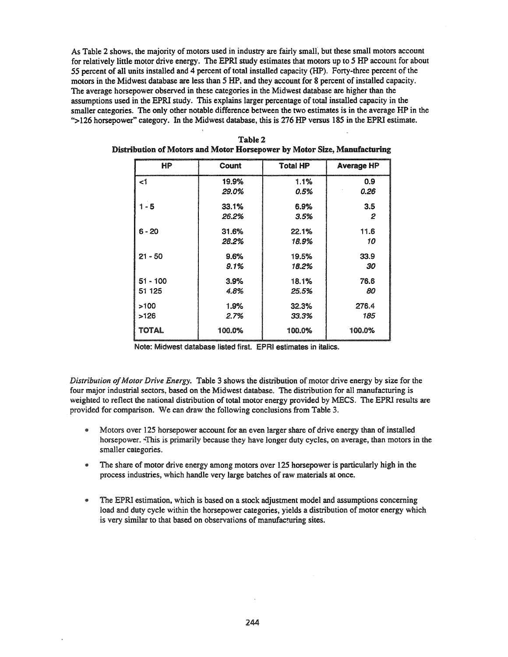As Table 2 shows, the majority of motors used in industry are fairly small, but these small motors account for relatively little motor drive energy. The EPRI study estimates that motors up to 5 HP account for about 55 percent of all units installed and 4 percent of total installed capacity (HP). Forty-three percent of the motors in the Midwest database are less than 5 HP, and they account for 8 percent of installed capacity. The average horsepower observed in these categories in the Midwest database are higher than the assumptions used in the EPRI study. This explains larger percentage of total installed capacity in the smaller categories. The only other notable difference between the two estimates is in the average HP in the ''>126 horsepower" category. In the Midwest database, this is 276 HP versus 185 in the EPRI estimate.

| <b>HP</b>  | Count  | <b>Total HP</b> | <b>Average HP</b> |
|------------|--------|-----------------|-------------------|
| ا>         | 19.9%  | 1.1%            | 0.9               |
|            | 29.0%  | 0.5%            | 0.26              |
| 1 - 5      | 33.1%  | 6.9%            | 3.5               |
|            | 26.2%  | 3.5%            | 2                 |
| $6 - 20$   | 31.6%  | 22.1%           | 11.6              |
|            | 28.2%  | 18.9%           | 10                |
| $21 - 50$  | 9.6%   | 19.5%           | 33.9              |
|            | 9.1%   | 18.2%           | 30                |
| $51 - 100$ | 3.9%   | 18.1%           | 76.6              |
| 51 125     | 4.8%   | 25.5%           | 80                |
| >100       | 1.9%   | 32.3%           | 276.4             |
| >126       | 2.7%   | 33.3%           | 185               |
| TOTAL      | 100.0% | 100.0%          | 100.0%            |

| Table 2                                                                  |  |
|--------------------------------------------------------------------------|--|
| Distribution of Motors and Motor Horsepower by Motor Size, Manufacturing |  |

Note: Midwest database listed first. EPRI estimates in italics.

*Distribution ofMotor Drive Energy.* Table 3 shows the distribution of motor drive energy by size for the four major industrial sectors, based on the Midwest database. The distribution for all manufacturing is weighted to reflect the national distribution of total motor energy provided by MECS. The EPRI results are provided for comparison. We can draw the following conclusions from Table 3.

- Motors over 125 horsepower account for an even larger share of drive energy than of installed horsepower. ~This is primarily because they have longer duty cycles, on average, than motors in the smaller categories.
- The share of motor drive energy among motors over 125 horsepower is particularly high in the process industries, which handle very large batches of raw materials at once.
- The EPRI estimation, which is based on a stock adjustment model and assumptions concerning load and duty cycle within the horsepower categories, yields a distribution of motor energy which is very similar to that based on observations of manufacturing sites.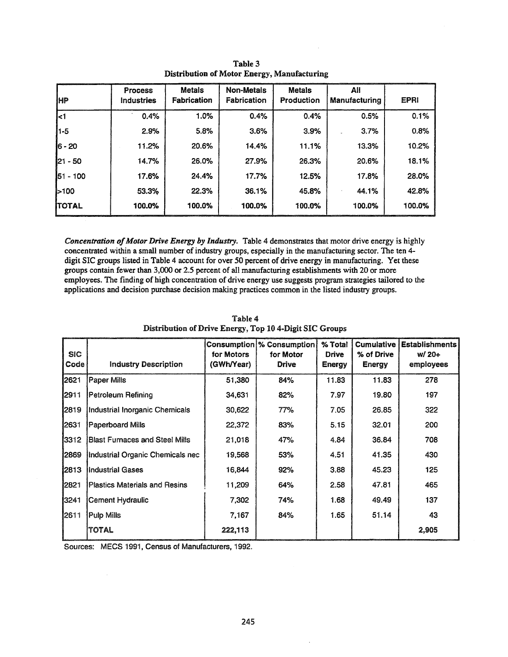| ӀНР      | <b>Process</b><br><b>Industries</b> | <b>Metals</b><br>Fabrication | Non-Metals<br><b>Fabrication</b> | <b>Metals</b><br>Production | All<br><b>Manufacturing</b> | <b>EPRI</b> |
|----------|-------------------------------------|------------------------------|----------------------------------|-----------------------------|-----------------------------|-------------|
| k1       | 0.4%                                | 1.0%                         | 0.4%                             | 0.4%                        | 0.5%                        | 0.1%        |
| 1-5      | 2.9%                                | 5.8%                         | 3.6%                             | 3.9%                        | 3.7%                        | 0.8%        |
| $6 - 20$ | 11.2%                               | 20.6%                        | 14.4%                            | 11.1%                       | 13.3%                       | 10.2%       |
| 21 - 50  | 14.7%                               | 26.0%                        | 27.9%                            | 26.3%                       | 20.6%                       | 18.1%       |
| 51 - 100 | 17.6%                               | 24.4%                        | 17.7%                            | 12.5%                       | 17.8%                       | 28.0%       |
| 5100     | 53.3%                               | 22.3%                        | 36.1%                            | 45.8%                       | 44.1%                       | 42.8%       |
| ITOTAL   | 100.0%                              | 100.0%                       | 100.0%                           | 100.0%                      | 100.0%                      | 100.0%      |

Table 3 Distribution of Motor Energy, Manufacturing

*Concentration ofMotor Drive Energy* by *Industry.* Table 4 demonstrates that motor drive energy is highly concentrated within a small number of industry groups, especially in the manufacturing sector. The ten 4 digit SIC groups listed in Table 4 account for over 50 percent of drive energy in manufacturing. Yet these groups contain fewer than 3,000 or 2.5 percent of all manufacturing establishments with 20 or more employees. The finding of high concentration of drive energy use suggests program strategies tailored to the applications and decision purchase decision making practices common in the listed industry groups.

| <b>SIC</b><br>Code | <b>Industry Description</b>           | for Motors<br>(GWh/Year) | Consumption % Consumption<br>for Motor<br><b>Drive</b> | % Total<br><b>Drive</b><br><b>Energy</b> | <b>Cumulative</b><br>% of Drive<br><b>Energy</b> | <b>Establishments</b><br>$W/20+$<br>employees |
|--------------------|---------------------------------------|--------------------------|--------------------------------------------------------|------------------------------------------|--------------------------------------------------|-----------------------------------------------|
| 2621               | Paper Mills                           | 51,380                   | 84%                                                    | 11.83                                    | 11.83                                            | 278                                           |
| 12911              | Petroleum Refining                    | 34,631                   | 82%                                                    | 7.97                                     | 19.80                                            | 197                                           |
| 2819               | Industrial Inorganic Chemicals        | 30.622                   | 77%                                                    | 7.05                                     | 26.85                                            | 322                                           |
| 2631               | Paperboard Mills                      | 22,372                   | 83%                                                    | 5.15                                     | 32.01                                            | 200                                           |
| 3312               | <b>Blast Furnaces and Steel Mills</b> | 21,018                   | 47%                                                    | 4.84                                     | 36.84                                            | 708                                           |
| 2869               | Industrial Organic Chemicals nec      | 19,568                   | 53%                                                    | 4.51                                     | 41.35                                            | 430                                           |
| 2813               | IIndustrial Gases                     | 16,844                   | 92%                                                    | 3.88                                     | 45.23                                            | 125                                           |
| 2821               | <b>Plastics Materials and Resins</b>  | 11,209                   | 64%                                                    | 2.58                                     | 47.81                                            | 465                                           |
| 3241               | Cement Hydraulic                      | 7.302                    | 74%                                                    | 1.68                                     | 49.49                                            | 137                                           |
| 12611              | Pulp Mills                            | 7,167                    | 84%                                                    | 1.65                                     | 51.14                                            | 43                                            |
|                    | TOTAL                                 | 222,113                  |                                                        |                                          |                                                  | 2,905                                         |

Table 4 Distribution of Drive Energy, Top 10 4.Digit SIC Groups

Sources: MECS 1991, Census of Manufacturers, 1992.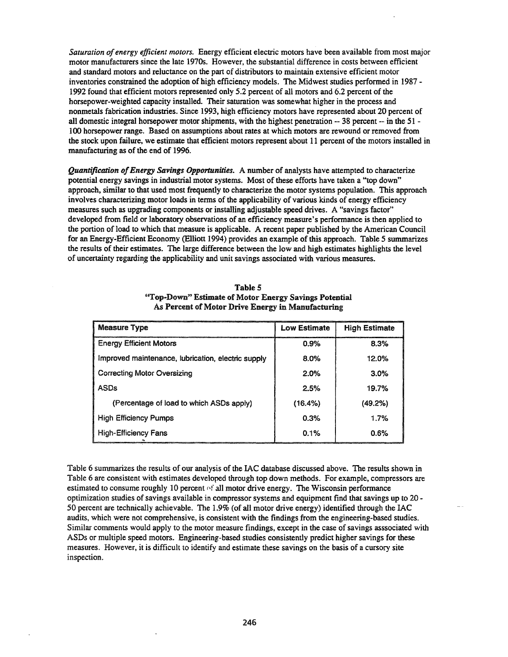*Saturation ofenergy efficient motors.* Energy efficient electric motors have been available from most major motor manufacturers since the late 1970s. However, the substantial difference in costs between efficient and standard motors and reluctance on the part of distributors to maintain extensive efficient motor inventories constrained the adoption of high efficiency models. The Midwest studies performed in 1987 - 1992 found that efficient motors represented only 5.2 percent of all motors and 6.2 percent of the horsepower-weighted capacity installed. Their saturation was somewhat higher in the process and nonmetals fabrication industries. Since 1993, high efficiency motors have represented about 20 percent of all domestic integral horsepower motor shipments, with the highest penetration -- 38 percent - in the 51 - 100 horsepower range. Based on assumptions about rates at which motors are rewound or removed from the stock upon failure, we estimate that efficient motors represent about 11 percent of the motors installed in manufacturing as of the end of 1996.

*Quantification ofEnergy Savings Opportunities.* A number of analysts have attempted to characterize potential energy savings in industrial motor systems. Most of these efforts have taken a "top down" approach, similar to that used most frequently to characterize the motor systems population. This approach involves characterizing motor loads in terms of the applicability of various kinds of energy efficiency measures such as upgrading components or installing adjustable speed drives. A "savings factor" developed from field or laboratory observations of an efficiency measure's performance is then applied to the portion of load to which that measure is applicable. A recent paper published by the American Council for an Energy-Efficient Economy (Elliott 1994) provides an example of this approach. Table 5 summarizes the results of their estimates. The large difference between the low and high estimates highlights the level of uncertainty regarding the applicability and unit savings associated with various measures.

| <b>Measure Type</b>                                | <b>Low Estimate</b> | <b>High Estimate</b> |
|----------------------------------------------------|---------------------|----------------------|
| <b>Energy Efficient Motors</b>                     | 0.9%                | 8.3%                 |
| Improved maintenance, lubrication, electric supply | 8.0%                | 12.0%                |
| <b>Correcting Motor Oversizing</b>                 | 2.0%                | 3.0%                 |
| <b>ASDs</b>                                        | 2.5%                | 19.7%                |
| (Percentage of load to which ASDs apply)           | (16.4%)             | (49.2%)              |
| <b>High Efficiency Pumps</b>                       | 0.3%                | 1.7%                 |
| <b>High-Efficiency Fans</b>                        | 0.1%                | 0.6%                 |

| Table 5                                               |  |  |  |  |  |
|-------------------------------------------------------|--|--|--|--|--|
| "Top-Down" Estimate of Motor Energy Savings Potential |  |  |  |  |  |
| As Percent of Motor Drive Energy in Manufacturing     |  |  |  |  |  |

Table 6 summarizes the results of our analysis of the IAC database discussed above. The results shown in Table 6 are consistent with estimates developed through top down methods. For example, compressors are estimated to consume roughly 10 percent  $\alpha f$  all motor drive energy. The Wisconsin performance optimization studies of savings available in compressor systems and equipment find that savings up to 20 -50 percent are technically achievable. The 1.9% (of all motor drive energy) identified through the IAC audits, which were not comprehensive, is consistent with the findings from the engineering-based studies. Similar comments would apply to the motor measure findings, except in the case of savings asssociated with ASDs or multiple speed motors. Engineering-based studies consistently predict higher savings for these measures. However, it is difficult to identify and estimate these savings on the basis of a cursory site inspection.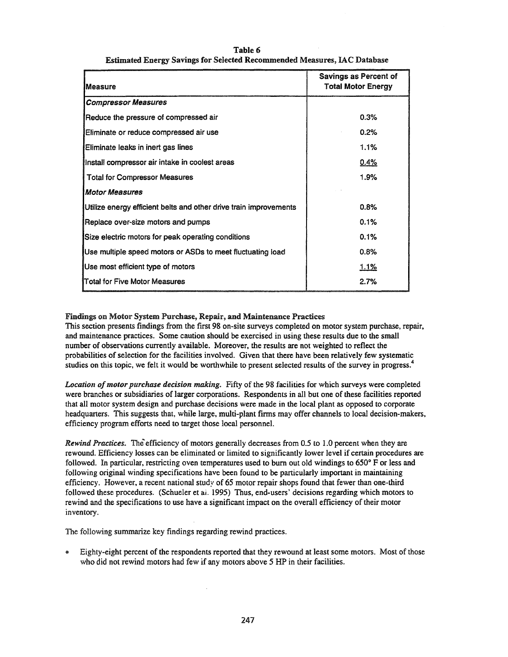#### Table 6 Estimated Energy Savings for Selected Recommended Measures, lAC Database

| Measure                                                           | Savings as Percent of<br><b>Total Motor Energy</b> |
|-------------------------------------------------------------------|----------------------------------------------------|
| <b>Compressor Measures</b>                                        |                                                    |
| Reduce the pressure of compressed air                             | 0.3%                                               |
| Eliminate or reduce compressed air use                            | 0.2%                                               |
| Eliminate leaks in inert gas lines                                | 1.1%                                               |
| Install compressor air intake in coolest areas                    | 0.4%                                               |
| <b>Total for Compressor Measures</b>                              | 1.9%                                               |
| Motor Measures                                                    |                                                    |
| Utilize energy efficient belts and other drive train improvements | 0.8%                                               |
| Replace over-size motors and pumps                                | 0.1%                                               |
| Size electric motors for peak operating conditions                | 0.1%                                               |
| Use multiple speed motors or ASDs to meet fluctuating load        | 0.8%                                               |
| Use most efficient type of motors                                 | <u>1.1%</u>                                        |
| <b>ITotal for Five Motor Measures</b>                             | 2.7%                                               |

# Findings on Motor System Purchase, Repair, and Maintenance Practices

This section presents findings from the first 98 on-site surveys completed on motor system purchase, repair, and maintenance practices. Some caution should be exercised in using these results due to the small number of observations currently available. Moreover, the results are not weighted to reflect the probabilities of selection for the facilities involved. Given that there have been relatively few systematic studies on this topic, we felt it would be worthwhile to present selected results of the survey in progress.<sup>4</sup>

*Location ofmotor purchase decision making.* Fifty of the 98 facilities for which surveys were completed were branches or subsidiaries of larger corporations. Respondents in all but one of these facilities reported that all motor system design and purchase decisions were made in the local plant as opposed to corporate headquarters. This suggests that, while large, multi-plant firms may offer channels to local decision-makers, efficiency program efforts need to target those local personnel.

*Rewind Practices.* The efficiency of motors generally decreases from 0.5 to 1.0 percent when they are rewound. Efficiency losses can be eliminated or limited to significantly lower level if certain procedures are followed. In particular, restricting oven temperatures used to burn out old windings to 650° F or less and following original winding specifications have been found to be particularly important in maintaining efficiency. However, a recent national study of 65 motor repair shops found that fewer than one-third followed these procedures. (Schueler et ai. 1995) Thus, end-users' decisions regarding which motors to rewind and the specifications to use have a significant impact on the overall efficiency of their motor inventory.

The following summarize key findings regarding rewind practices.

Eighty-eight percent of the respondents reported that they rewound at least some motors. Most of those who did not rewind motors had few if any motors above 5 HP in their facilities.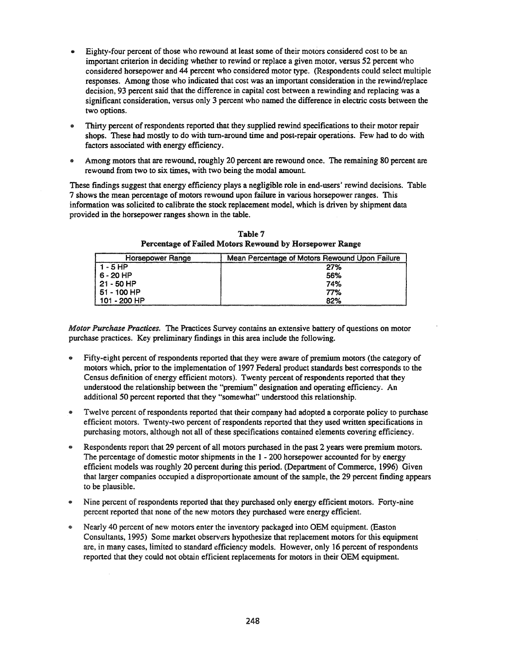- .. Eighty-four percent of those who rewound at least some of their motors considered cost to be an important criterion in deciding whether to rewind or replace a given motor, versus 52 percent who considered horsepower and 44 percent who considered motor type. (Respondents could select multiple responses. Among those who indicated that cost was an important consideration in the rewind/replace decision. 93 percent said that the difference in capital cost between a rewinding and replacing was a significant consideration, versus only 3 percent who named the difference in electric costs between the two options.
- .. Thirty percent ofrespondents reported that they supplied rewind specifications to their motor repair shops. These had mostly to do with tum-around time and post-repair operations. Few had to do with factors associated with energy efficiency.
- Among motors that are rewound, roughly 20 percent are rewound once. The remaining 80 percent are rewound from two to six times, with two being the modal amount.

These findings suggest that energy efficiency plays a negligible role in end-users' rewind decisions. Table 7 shows the mean percentage of motors rewound upon failure in various horsepower ranges. This information was solicited to calibrate the stock replacement model, which is driven by shipment data provided in the horsepower ranges shown in the table.

| Horsepower Range | Mean Percentage of Motors Rewound Upon Failure |
|------------------|------------------------------------------------|
| 1-5HP            | 27%                                            |
| 16-20 HP         | 56%                                            |
| 21 - 50 HP       | 74%                                            |
| 51 - 100 HP      | 77%                                            |
| 101 - 200 HP     | 82%                                            |

Table 7 Percentage of Failed Motors Rewound by Horsepower Range

*Motor Purchase Practices.* The Practices Survey contains an extensive battery of questions on motor purchase practices. Key preliminary findings in this area include the following.

- Fifty-eight percent of respondents reported that they were aware of premium motors (the category of motors which, prior to the implementation of 1997 Federal product standards best corresponds to the Census definition of energy efficient motors). Twenty percent of respondents reported that they understood the relationship between the "premium" designation and operating efficiency. An additional 50 percent reported that they "somewhat" understood this relationship.
- Twelve percent of respondents reported that their company had adopted a corporate policy to purchase efficient motors. Twenty-two percent of respondents reported that they used written specifications in purchasing motors, although not all of these specifications contained elements covering efficiency.
- Respondents report that 29 percent of all motors purchased in the past 2 years were premium motors. The percentage of domestic motor shipments in the 1 - 200 horsepower accounted for by energy efficient models was roughly 20 percent during this period. (Department of Commerce, 1996) Given that larger companies occupied a disproportionate amount of the sample, the 29 percent finding appears to be plausible.
- Nine percent of respondents reported that they purchased only energy efficient motors. Forty-nine percent reported that none of the new motors they purchased were energy efficient.
- Nearly 40 percent of new motors enter the inventory packaged into OEM equipment. (Easton Consultants. 1995) Some market observers hypothesize that replacement motors for this equipment are, in many cases, limited to standard efficiency models. However, only 16 percent of respondents reported that they could not obtain efficient replacements for motors in their OEM equipment.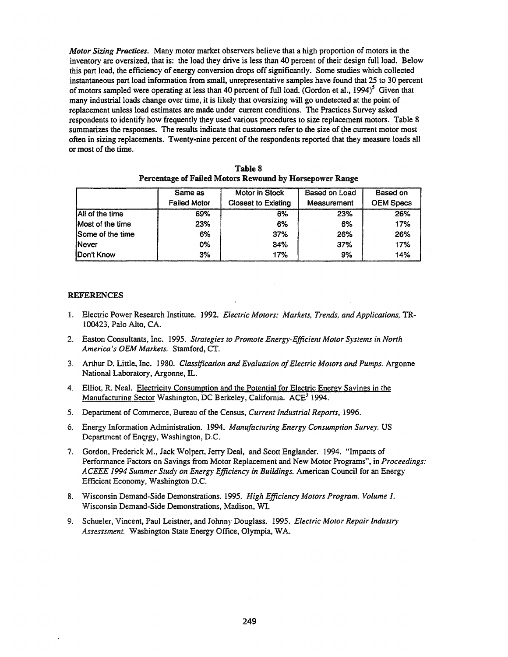*Motor Sizing Practices.* Many motor market observers believe that a high proportion of motors in the inventory are oversized, that is: the load they drive is less than 40 percent of their design full load. Below this part load, the efficiency of energy conversion drops offsignificantly. Some studies which collected instantaneous part load information from small, unrepresentative samples have found that 25 to 30 percent of motors sampled were operating at less than 40 percent of full load. (Gordon et al., 1994)<sup>5</sup> Given that many industrial loads change over time, it is likely that oversizing will go undetected at the point of replacement unless load estimates are made under current conditions. The Practices Survey asked respondents to identify how frequently they used various procedures to size replacement motors. Table 8 summarizes the responses. The results indicate that customers refer to the size of the current motor most often in sizing replacements. Twenty-nine percent of the respondents reported that they measure loads all or most of the time.

|                         | Same as             | Motor in Stock             | Based on Load | Based on         |  |
|-------------------------|---------------------|----------------------------|---------------|------------------|--|
|                         | <b>Failed Motor</b> | <b>Closest to Existing</b> | Measurement   | <b>OEM Specs</b> |  |
| All of the time         | 69%                 | 6%                         | 23%           | 26%              |  |
| Most of the time        | 23%                 | 6%                         | 6%            | 17%              |  |
| <b>Some of the time</b> | 6%                  | 37%                        | 26%           | 26%              |  |
| <b>Never</b>            | 0%                  | 34%                        | 37%           | 17%              |  |
| <b>Don't Know</b>       | 3%                  | 17%                        | 9%            | 14%              |  |

| Table 8                                                 |  |  |  |  |  |  |  |
|---------------------------------------------------------|--|--|--|--|--|--|--|
| Percentage of Failed Motors Rewound by Horsepower Range |  |  |  |  |  |  |  |

# REFERENCES

- 1. Electric Power Research Institute. 1992. *Electric Motors: Markets, Trends, and Applications,* TR-100423, Palo Alto, CA.
- 2. Easton Consultants, Inc. 1995. *Strategies to Promote Energy-Efficient Motor Systems in North America's OEM Markets.* Stamford, CT.
- 3. Arthur D. Little, Inc. 1980. *Classification and Evaluation ofElectric Motors and Pumps.* Argonne National Laboratory, Argonne, IL.
- 4. Elliot, R. Neal. Electricity Consumption and the Potential for Electric Energy Savings in the Manufacturing Sector Washington, DC Berkeley, California. ACE<sup>3</sup> 1994.
- 5. Department of Commerce, Bureau of the Census, *Current Industrial Reports, 1996.*
- 6. Energy Information Administration. 1994. *Manufacturing Energy Consumption Survey.* US Department of Energy, Washington, D.C.
- 7. Gordon, Frederick M., Jack Wolpert, Jerry Deal, and Scott Englander. 1994. "Impacts of Performance Factors on Savings from Motor Replacement and New Motor Programs", in *Proceedings: ACEEE* 1994 *Summer Study on Energy Efficiency in Buildings.* American Council for an Energy Efficient Economy, Washington D.C.
- 8. Wisconsin Demand-Side Demonstrations. 1995. *High Efficiency Motors Program. Volume* 1. Wisconsin Demand-Side Demonstrations, Madison, WI.
- 9. Schueler, Vincent, Paul Leistner, and Johnny Douglass. 1995. *Electric Motor Repair Industry Assesssment.* Washington State Energy Office, Olympia, WA.